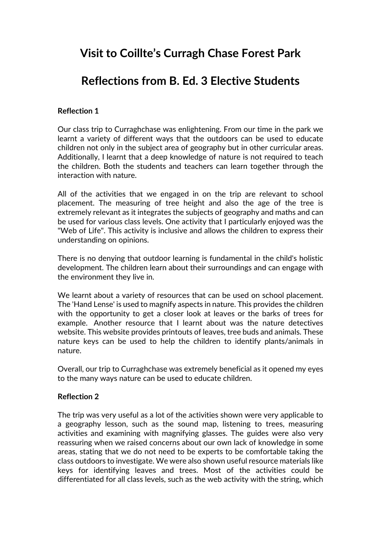# **Visit to Coillte's Curragh Chase Forest Park**

# **Reflections from B. Ed. 3 Elective Students**

## **Reflection 1**

Our class trip to Curraghchase was enlightening. From our time in the park we learnt a variety of different ways that the outdoors can be used to educate children not only in the subject area of geography but in other curricular areas. Additionally, I learnt that a deep knowledge of nature is not required to teach the children. Both the students and teachers can learn together through the interaction with nature.

All of the activities that we engaged in on the trip are relevant to school placement. The measuring of tree height and also the age of the tree is extremely relevant as it integrates the subjects of geography and maths and can be used for various class levels. One activity that I particularly enjoyed was the "Web of Life". This activity is inclusive and allows the children to express their understanding on opinions.

There is no denying that outdoor learning is fundamental in the child's holistic development. The children learn about their surroundings and can engage with the environment they live in.

We learnt about a variety of resources that can be used on school placement. The 'Hand Lense' is used to magnify aspects in nature. This provides the children with the opportunity to get a closer look at leaves or the barks of trees for example. Another resource that I learnt about was the nature detectives website. This website provides printouts of leaves, tree buds and animals. These nature keys can be used to help the children to identify plants/animals in nature.

Overall, our trip to Curraghchase was extremely beneficial as it opened my eyes to the many ways nature can be used to educate children.

#### **Reflection 2**

The trip was very useful as a lot of the activities shown were very applicable to a geography lesson, such as the sound map, listening to trees, measuring activities and examining with magnifying glasses. The guides were also very reassuring when we raised concerns about our own lack of knowledge in some areas, stating that we do not need to be experts to be comfortable taking the class outdoors to investigate. We were also shown useful resource materials like keys for identifying leaves and trees. Most of the activities could be differentiated for all class levels, such as the web activity with the string, which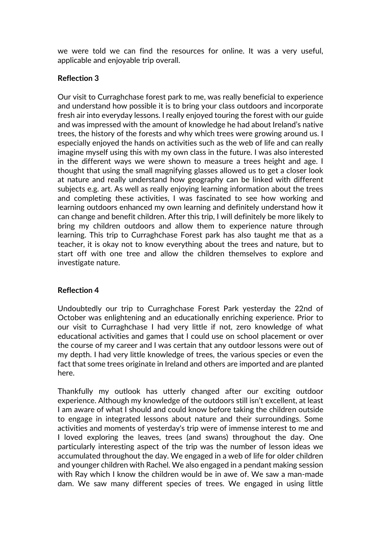we were told we can find the resources for online. It was a very useful, applicable and enjoyable trip overall.

## **Reflection 3**

Our visit to Curraghchase forest park to me, was really beneficial to experience and understand how possible it is to bring your class outdoors and incorporate fresh air into everyday lessons. I really enjoyed touring the forest with our guide and was impressed with the amount of knowledge he had about Ireland's native trees, the history of the forests and why which trees were growing around us. I especially enjoyed the hands on activities such as the web of life and can really imagine myself using this with my own class in the future. I was also interested in the different ways we were shown to measure a trees height and age. I thought that using the small magnifying glasses allowed us to get a closer look at nature and really understand how geography can be linked with different subjects e.g. art. As well as really enjoying learning information about the trees and completing these activities, I was fascinated to see how working and learning outdoors enhanced my own learning and definitely understand how it can change and benefit children. After this trip, I will definitely be more likely to bring my children outdoors and allow them to experience nature through learning. This trip to Curraghchase Forest park has also taught me that as a teacher, it is okay not to know everything about the trees and nature, but to start off with one tree and allow the children themselves to explore and investigate nature.

## **Reflection 4**

Undoubtedly our trip to Curraghchase Forest Park yesterday the 22nd of October was enlightening and an educationally enriching experience. Prior to our visit to Curraghchase I had very little if not, zero knowledge of what educational activities and games that I could use on school placement or over the course of my career and I was certain that any outdoor lessons were out of my depth. I had very little knowledge of trees, the various species or even the fact that some trees originate in Ireland and others are imported and are planted here.

Thankfully my outlook has utterly changed after our exciting outdoor experience. Although my knowledge of the outdoors still isn't excellent, at least I am aware of what I should and could know before taking the children outside to engage in integrated lessons about nature and their surroundings. Some activities and moments of yesterday's trip were of immense interest to me and I loved exploring the leaves, trees (and swans) throughout the day. One particularly interesting aspect of the trip was the number of lesson ideas we accumulated throughout the day. We engaged in a web of life for older children and younger children with Rachel. We also engaged in a pendant making session with Ray which I know the children would be in awe of. We saw a man-made dam. We saw many different species of trees. We engaged in using little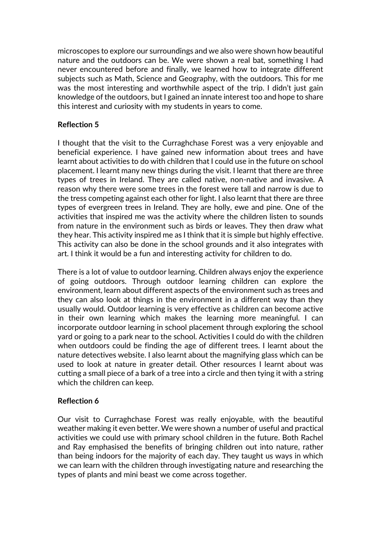microscopes to explore our surroundings and we also were shown how beautiful nature and the outdoors can be. We were shown a real bat, something I had never encountered before and finally, we learned how to integrate different subjects such as Math, Science and Geography, with the outdoors. This for me was the most interesting and worthwhile aspect of the trip. I didn't just gain knowledge of the outdoors, but I gained an innate interest too and hope to share this interest and curiosity with my students in years to come.

#### **Reflection 5**

I thought that the visit to the Curraghchase Forest was a very enjoyable and beneficial experience. I have gained new information about trees and have learnt about activities to do with children that I could use in the future on school placement. I learnt many new things during the visit. I learnt that there are three types of trees in Ireland. They are called native, non-native and invasive. A reason why there were some trees in the forest were tall and narrow is due to the tress competing against each other for light. I also learnt that there are three types of evergreen trees in Ireland. They are holly, ewe and pine. One of the activities that inspired me was the activity where the children listen to sounds from nature in the environment such as birds or leaves. They then draw what they hear. This activity inspired me as I think that it is simple but highly effective. This activity can also be done in the school grounds and it also integrates with art. I think it would be a fun and interesting activity for children to do.

There is a lot of value to outdoor learning. Children always enjoy the experience of going outdoors. Through outdoor learning children can explore the environment, learn about different aspects of the environment such as trees and they can also look at things in the environment in a different way than they usually would. Outdoor learning is very effective as children can become active in their own learning which makes the learning more meaningful. I can incorporate outdoor learning in school placement through exploring the school yard or going to a park near to the school. Activities I could do with the children when outdoors could be finding the age of different trees. I learnt about the nature detectives website. I also learnt about the magnifying glass which can be used to look at nature in greater detail. Other resources I learnt about was cutting a small piece of a bark of a tree into a circle and then tying it with a string which the children can keep.

#### **Reflection 6**

Our visit to Curraghchase Forest was really enjoyable, with the beautiful weather making it even better. We were shown a number of useful and practical activities we could use with primary school children in the future. Both Rachel and Ray emphasised the benefits of bringing children out into nature, rather than being indoors for the majority of each day. They taught us ways in which we can learn with the children through investigating nature and researching the types of plants and mini beast we come across together.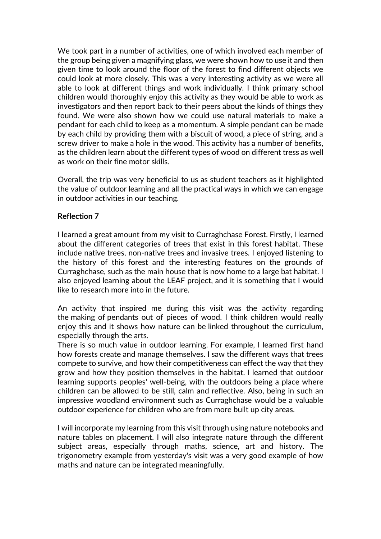We took part in a number of activities, one of which involved each member of the group being given a magnifying glass, we were shown how to use it and then given time to look around the floor of the forest to find different objects we could look at more closely. This was a very interesting activity as we were all able to look at different things and work individually. I think primary school children would thoroughly enjoy this activity as they would be able to work as investigators and then report back to their peers about the kinds of things they found. We were also shown how we could use natural materials to make a pendant for each child to keep as a momentum. A simple pendant can be made by each child by providing them with a biscuit of wood, a piece of string, and a screw driver to make a hole in the wood. This activity has a number of benefits, as the children learn about the different types of wood on different tress as well as work on their fine motor skills.

Overall, the trip was very beneficial to us as student teachers as it highlighted the value of outdoor learning and all the practical ways in which we can engage in outdoor activities in our teaching.

### **Reflection 7**

I learned a great amount from my visit to Curraghchase Forest. Firstly, I learned about the different categories of trees that exist in this forest habitat. These include native trees, non-native trees and invasive trees. I enjoyed listening to the history of this forest and the interesting features on the grounds of Curraghchase, such as the main house that is now home to a large bat habitat. I also enjoyed learning about the LEAF project, and it is something that I would like to research more into in the future.

An activity that inspired me during this visit was the activity regarding the making of pendants out of pieces of wood. I think children would really enjoy this and it shows how nature can be linked throughout the curriculum, especially through the arts.

There is so much value in outdoor learning. For example, I learned first hand how forests create and manage themselves. I saw the different ways that trees compete to survive, and how their competitiveness can effect the way that they grow and how they position themselves in the habitat. I learned that outdoor learning supports peoples' well-being, with the outdoors being a place where children can be allowed to be still, calm and reflective. Also, being in such an impressive woodland environment such as Curraghchase would be a valuable outdoor experience for children who are from more built up city areas.

I will incorporate my learning from this visit through using nature notebooks and nature tables on placement. I will also integrate nature through the different subject areas, especially through maths, science, art and history. The trigonometry example from yesterday's visit was a very good example of how maths and nature can be integrated meaningfully.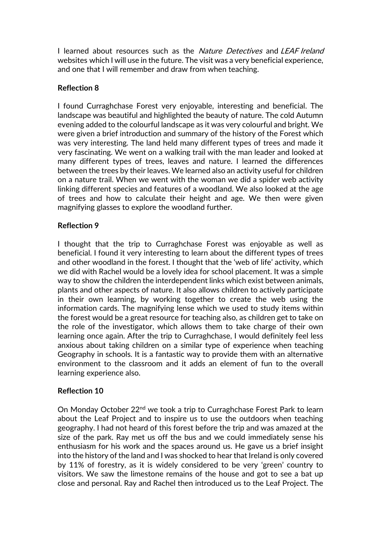I learned about resources such as the Nature Detectives and LEAF Ireland websites which I will use in the future. The visit was a very beneficial experience, and one that I will remember and draw from when teaching.

## **Reflection 8**

I found Curraghchase Forest very enjoyable, interesting and beneficial. The landscape was beautiful and highlighted the beauty of nature. The cold Autumn evening added to the colourful landscape as it was very colourful and bright. We were given a brief introduction and summary of the history of the Forest which was very interesting. The land held many different types of trees and made it very fascinating. We went on a walking trail with the man leader and looked at many different types of trees, leaves and nature. I learned the differences between the trees by their leaves. We learned also an activity useful for children on a nature trail. When we went with the woman we did a spider web activity linking different species and features of a woodland. We also looked at the age of trees and how to calculate their height and age. We then were given magnifying glasses to explore the woodland further.

### **Reflection 9**

I thought that the trip to Curraghchase Forest was enjoyable as well as beneficial. I found it very interesting to learn about the different types of trees and other woodland in the forest. I thought that the 'web of life' activity, which we did with Rachel would be a lovely idea for school placement. It was a simple way to show the children the interdependent links which exist between animals, plants and other aspects of nature. It also allows children to actively participate in their own learning, by working together to create the web using the information cards. The magnifying lense which we used to study items within the forest would be a great resource for teaching also, as children get to take on the role of the investigator, which allows them to take charge of their own learning once again. After the trip to Curraghchase, I would definitely feel less anxious about taking children on a similar type of experience when teaching Geography in schools. It is a fantastic way to provide them with an alternative environment to the classroom and it adds an element of fun to the overall learning experience also.

## **Reflection 10**

On Monday October 22<sup>nd</sup> we took a trip to Curraghchase Forest Park to learn about the Leaf Project and to inspire us to use the outdoors when teaching geography. I had not heard of this forest before the trip and was amazed at the size of the park. Ray met us off the bus and we could immediately sense his enthusiasm for his work and the spaces around us. He gave us a brief insight into the history of the land and I was shocked to hear that Ireland is only covered by 11% of forestry, as it is widely considered to be very 'green' country to visitors. We saw the limestone remains of the house and got to see a bat up close and personal. Ray and Rachel then introduced us to the Leaf Project. The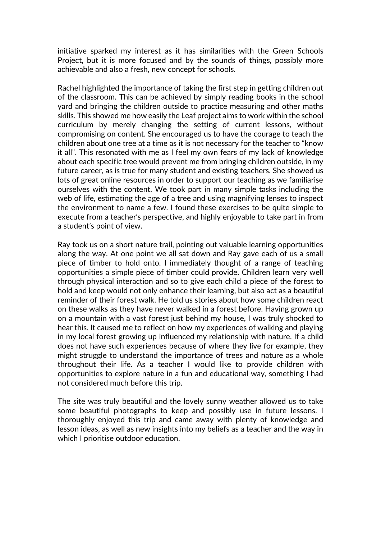initiative sparked my interest as it has similarities with the Green Schools Project, but it is more focused and by the sounds of things, possibly more achievable and also a fresh, new concept for schools.

Rachel highlighted the importance of taking the first step in getting children out of the classroom. This can be achieved by simply reading books in the school yard and bringing the children outside to practice measuring and other maths skills. This showed me how easily the Leaf project aims to work within the school curriculum by merely changing the setting of current lessons, without compromising on content. She encouraged us to have the courage to teach the children about one tree at a time as it is not necessary for the teacher to "know it all". This resonated with me as I feel my own fears of my lack of knowledge about each specific tree would prevent me from bringing children outside, in my future career, as is true for many student and existing teachers. She showed us lots of great online resources in order to support our teaching as we familiarise ourselves with the content. We took part in many simple tasks including the web of life, estimating the age of a tree and using magnifying lenses to inspect the environment to name a few. I found these exercises to be quite simple to execute from a teacher's perspective, and highly enjoyable to take part in from a student's point of view.

Ray took us on a short nature trail, pointing out valuable learning opportunities along the way. At one point we all sat down and Ray gave each of us a small piece of timber to hold onto. I immediately thought of a range of teaching opportunities a simple piece of timber could provide. Children learn very well through physical interaction and so to give each child a piece of the forest to hold and keep would not only enhance their learning, but also act as a beautiful reminder of their forest walk. He told us stories about how some children react on these walks as they have never walked in a forest before. Having grown up on a mountain with a vast forest just behind my house, I was truly shocked to hear this. It caused me to reflect on how my experiences of walking and playing in my local forest growing up influenced my relationship with nature. If a child does not have such experiences because of where they live for example, they might struggle to understand the importance of trees and nature as a whole throughout their life. As a teacher I would like to provide children with opportunities to explore nature in a fun and educational way, something I had not considered much before this trip.

The site was truly beautiful and the lovely sunny weather allowed us to take some beautiful photographs to keep and possibly use in future lessons. I thoroughly enjoyed this trip and came away with plenty of knowledge and lesson ideas, as well as new insights into my beliefs as a teacher and the way in which I prioritise outdoor education.